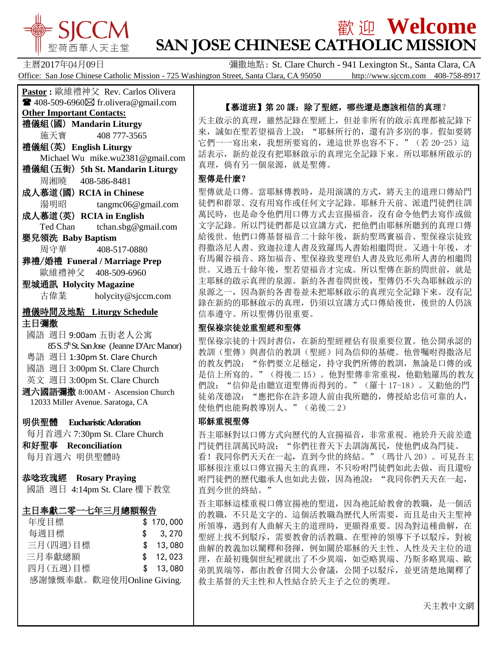

# $\frac{1}{2}$   $\frac{1}{2}$   $\frac{1}{2}$   $\frac{1}{2}$   $\frac{1}{2}$   $\frac{1}{2}$   $\frac{1}{2}$   $\frac{1}{2}$   $\frac{1}{2}$   $\frac{1}{2}$   $\frac{1}{2}$   $\frac{1}{2}$   $\frac{1}{2}$   $\frac{1}{2}$   $\frac{1}{2}$   $\frac{1}{2}$   $\frac{1}{2}$   $\frac{1}{2}$   $\frac{1}{2}$   $\frac{1}{2}$   $\frac{1}{2}$   $\frac{1}{2}$ **SAN JOSE CHINESE CATHOLIC MISSION**

主曆2017年04月09日 彌撒地點: St. Clare Church - 941 Lexington St., Santa Clara, CA Office: San Jose Chinese Catholic Mission - 725 Washington Street, Santa Clara, CA 95050 http://www.sjccm.com 408-758-8917

**Pastor :** 歐維禮神父 Rev. Carlos Olivera  $\blacksquare$  408-509-6960 $\boxtimes$  fr.olivera@gmail.com **Other Important Contacts:** 禮儀組(國) **Mandarin Liturgy** 施天寶 408 777-3565 禮儀組(英) **English Liturgy** Michael Wu mike.wu2381@gmail.com 禮儀組(五街) 5**th St. Mandarin Liturgy** 周湘曉 408-586-8481 成人慕道(國) **RCIA in Chinese** 湯明昭 tangmc06@gmail.com 成人慕道(英) **RCIA in English** Ted Chan tchan.sbg@gmail.com 嬰兒領洗 **Baby Baptism** 周守華 408-517-0880 葬禮/婚禮 **Funeral / Marriage Prep** 歐維禮神父 408-509-6960 聖城通訊 **Holycity Magazine** 古偉業 [holycity@sjccm.com](mailto:holycity@sjccm.com) 禮儀時間及地點 **Liturgy Schedule** 主日彌撒 國語 週日 9:00am 五街老人公寓 85 S. 5thSt. San Jose (Jeanne D'Arc Manor) 粵語 週日 1:30pm St. Clare Church 國語 週日 3:00pm St. Clare Church 英文 週日 3:00pm St. Clare Church 週六國語彌撒 8:00AM - Ascension Church 12033 Miller Avenue. Saratoga, CA 明供聖體 **Eucharistic Adoration** 每月首週六 7:30pm St. Clare Church 和好聖事 **Reconciliation** 每月首週六 明供聖體時 恭唸玫瑰經 **Rosary Praying** 國語 週日 4:14pm St. Clare 樓下教堂

# 主日奉獻二零一七年三月總額報告

| 年度目標                      | \$170,000 |
|---------------------------|-----------|
| 每週目標                      | \$3,270   |
| 三月(四週)目標                  | \$ 13,080 |
| 三月奉獻總額                    | \$12,023  |
| 四月(五週)目標                  | \$13,080  |
| 感謝慷慨奉獻。歡迎使用Online Giving. |           |

# 【慕道班】第20課:除了聖經,哪些還是應該相信的真理?

天主啟示的真理,雖然記錄在聖經上,但並非所有的啟示真理都被記錄下 來,誠如在聖若望福音上說: "耶穌所行的,還有許多別的事。假如要將 它們一一寫出來,我想所要寫的,連這世界也容不下。"(若 20-25)這 話表示,新約並沒有把耶穌啟示的真理完全記錄下來。所以耶穌所啟示的 真理,倘有另一個泉源,就是聖傳。

#### 聖傳是什麼?

聖傳就是口傳。當耶穌傳教時,是用演講的方式,將天主的道理口傳給門 徒們和群眾、沒有用寫作或任何文字記錄。耶穌升天前、派遣門徒們往訓 萬民時,也是命令他們用口傳方式去宣揚福音,沒有命令他們去寫作或做 文字記錄。所以門徒們都是以宣講方式,把他們由耶穌所聽到的真理口傳 給後世。他們口傳基督福音二十餘年後,新約聖瑪竇福音、聖保祿宗徒致 得撒洛尼人書、致迦拉達人書及致羅馬人書始相繼問世。又過十年後,才 有馬爾谷福音、路加福音、聖保祿致斐理伯人書及致厄弗所人書的相繼問 世。又過五十餘年後,聖若望福音才完成。所以聖傳在新約問世前,就是 主耶穌的啟示真理的泉源。新約各書卷問世後, 聖傳仍不失為耶穌啟示的 泉源之一,因為新約各書卷並未把耶穌啟示的真理完全記錄下來。沒有記 錄在新約的耶穌啟示的真理,仍須以宣講方式口傳給後世,後世的人仍該 信奉遵守。所以聖傳仍很重要。

# 聖保祿宗徒並重聖經和聖傳

聖保祿宗徒的十四封書信,在新約聖經裡佔有很重要位置。他公開承認的 教訓(聖傳)與書信的教訓(聖經)同為信仰的基礎。他曾囑咐得撒洛尼 的教友們說: "你們要立足穩定,持守我們所傳的教訓,無論是口傳的或 是信上所寫的。"(得後二 15)。他對聖傳非常重視,他勸勉羅馬的教友 們說:"信仰是由聽宣道聖傳而得到的。"(羅十 17-18)。又勸他的門 徒弟茂德說: "應把你在許多證人前由我所聽的, 傳授給忠信可靠的人, 使他們也能夠教導別人。"(弟後二 2)

# 耶穌重視聖傳

吾主耶穌對以口傳方式向歷代的人宣揚福音,非常重視。祂於升天前差遣 門徒們往訓萬民時說: "你們往普天下去訓誨萬民, 使他們成為門徒。 看!我同你們天天在一起,直到今世的終結。"(瑪廿八 20)。可見吾主 耶穌很注重以口傳宣揚天主的真理,不只吩咐門徒們如此去做,而且還吩 咐門徒們的歷代繼承人也如此去做,因為祂說:"我同你們天天在一起, 直到今世的終結。"

吾主耶穌這樣重視口傳宣揚祂的聖道,因為祂託給教會的教職,是一個活 的教職,不只是文字的。這個活教職為歷代人所需要,而且是由天主聖神 所領導,遇到有人曲解天主的道理時,更顯得重要。因為對這種曲解,在 聖經上找不到駁斥,需要教會的活教職、在聖神的領導下予以駁斥,對被 曲解的教義加以闡釋和發揮,例如關於耶穌的天主性、人性及天主位的道 理,在最初幾個世紀裡就出了不少異端,如亞略異端、乃斯多略異端、歐 弟凱異端等,都由教會召開大公會議,公開予以駁斥,並更清楚地闡釋了 救主基督的天主性和人性結合於天主子之位的奧理。

天主教中文網

**Contract Contract Contract Contract**